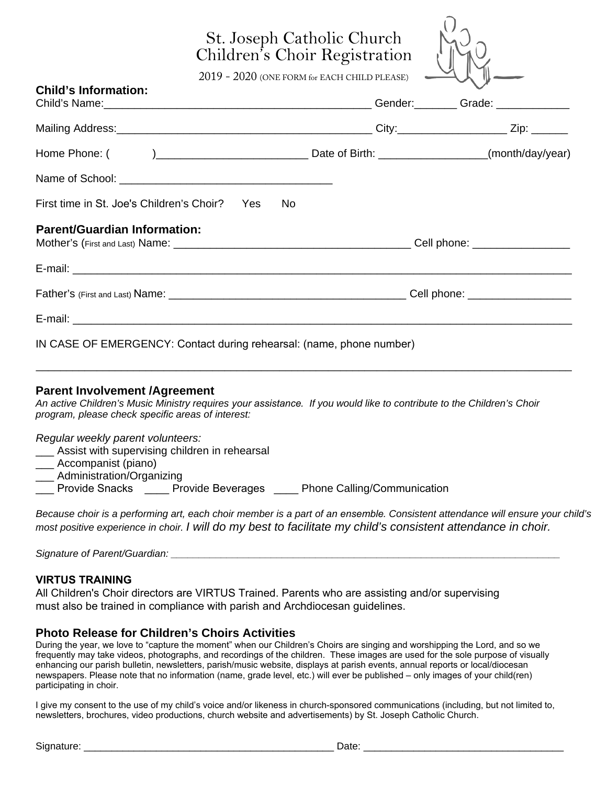# St. Joseph Catholic Church Children's Choir Registration

2019 - 2020 (ONE FORM for EACH CHILD PLEASE)

| <b>Child's Information:</b>                                          |  |  |
|----------------------------------------------------------------------|--|--|
|                                                                      |  |  |
|                                                                      |  |  |
|                                                                      |  |  |
|                                                                      |  |  |
| First time in St. Joe's Children's Choir? Yes No                     |  |  |
| <b>Parent/Guardian Information:</b>                                  |  |  |
|                                                                      |  |  |
|                                                                      |  |  |
|                                                                      |  |  |
| IN CASE OF EMERGENCY: Contact during rehearsal: (name, phone number) |  |  |

#### **Parent Involvement /Agreement**

An active Children's Music Ministry requires *your assistance*. If you would like to contribute to the Children's Choir program, please check *specific* areas of interest:

\_\_\_\_\_\_\_\_\_\_\_\_\_\_\_\_\_\_\_\_\_\_\_\_\_\_\_\_\_\_\_\_\_\_\_\_\_\_\_\_\_\_\_\_\_\_\_\_\_\_\_\_\_\_\_\_\_\_\_\_\_\_\_\_\_\_\_\_\_\_\_\_\_\_\_\_\_\_\_\_\_\_\_\_\_\_\_\_

#### Regular weekly parent volunteers:

- \_\_\_ Assist with supervising children in rehearsal
- \_\_\_ Accompanist (piano)
- Administration/Organizing

Provide Snacks Provide Beverages Phone Calling/Communication

Because choir is a performing art, each choir member is a part of a*n ensemble*. Consistent attendance will ensure your child's most positive experience in choir. I will do my best to facilitate my child's consistent attendance in choir.

| Signature of Parent/Guardian: |
|-------------------------------|
|-------------------------------|

#### **VIRTUS TRAINING**

All Children's Choir directors are VIRTUS Trained. Parents who are assisting and/or supervising must also be trained in compliance with parish and Archdiocesan guidelines.

#### **Photo Release for Children's Choirs Activities**

During the year, we love to "capture the moment" when our Children's Choirs are singing and worshipping the Lord, and so we frequently may take videos, photographs, and recordings of the children. These images are used for the sole purpose of visually enhancing our parish bulletin, newsletters, parish/music website, displays at parish events, annual reports or local/diocesan newspapers. Please note that no information (name, grade level, etc.) will ever be published – only images of your child(ren) participating in choir.

I give my consent to the use of my child's voice and/or likeness in church-sponsored communications (including, but not limited to, newsletters, brochures, video productions, church website and advertisements) by St. Joseph Catholic Church.